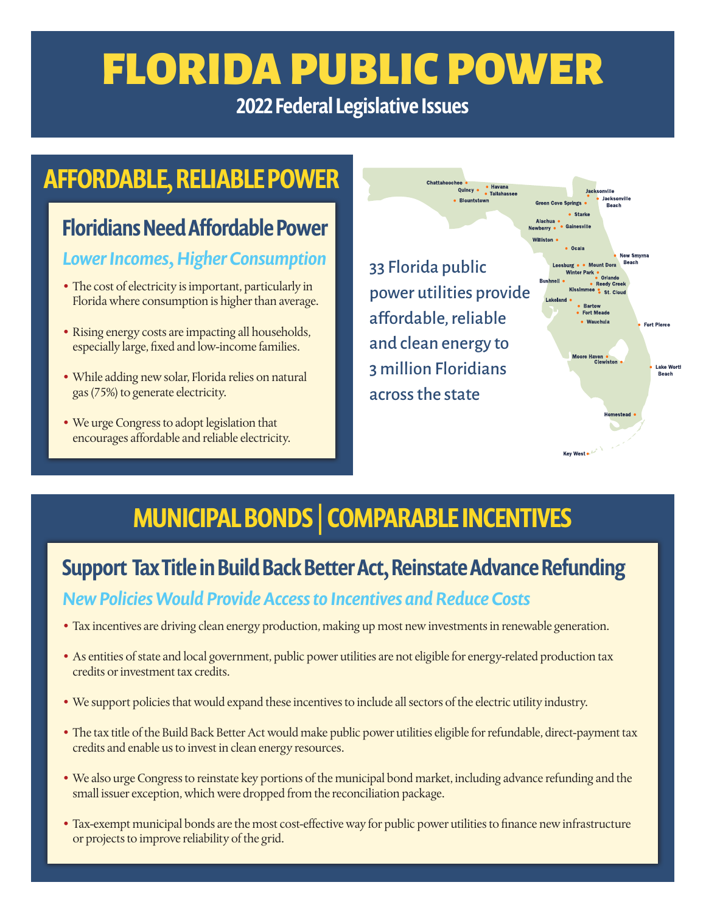# FLORIDA PUBLIC POWER

2022 Federal Legislative Issues

## AFFORDABLE, RELIABLE POWER

# Floridians Need Affordable Power

#### *Lower Incomes, Higher Consumption*

- **•** The cost of electricity is important, particularly in Florida where consumption is higher than average.
- **•** Rising energy costs are impacting all households, especially large, fixed and low-income families.
- **•** While adding new solar, Florida relies on natural gas (75%) to generate electricity.
- **•** We urge Congress to adopt legislation that encourages affordable and reliable electricity.

33 Florida public power utilities provide affordable, reliable and clean energy to 3 million Floridians across the state

Chattahoochee

ee • **Havana**<br>Quincy • Tallahassee

• Riountstown



Key West ...

# MUNICIPAL BONDS | COMPARABLE INCENTIVES

### Support Tax Title in Build Back Better Act, Reinstate Advance Refunding

#### *New Policies Would Provide Access to Incentives and Reduce Costs*

- **•** Tax incentives are driving clean energy production, making up most new investments in renewable generation.
- **•** As entities of state and local government, public power utilities are not eligible for energy-related production tax credits or investment tax credits.
- **•** We support policies that would expand these incentives to include all sectors of the electric utility industry.
- **•** The tax title of the Build Back Better Act would make public power utilities eligible for refundable, direct-payment tax credits and enable us to invest in clean energy resources.
- **•** We also urge Congress to reinstate key portions of the municipal bond market, including advance refunding and the small issuer exception, which were dropped from the reconciliation package.
- **•** Tax-exempt municipal bonds are the most cost-effective way for public power utilities to finance new infrastructure or projects to improve reliability of the grid.